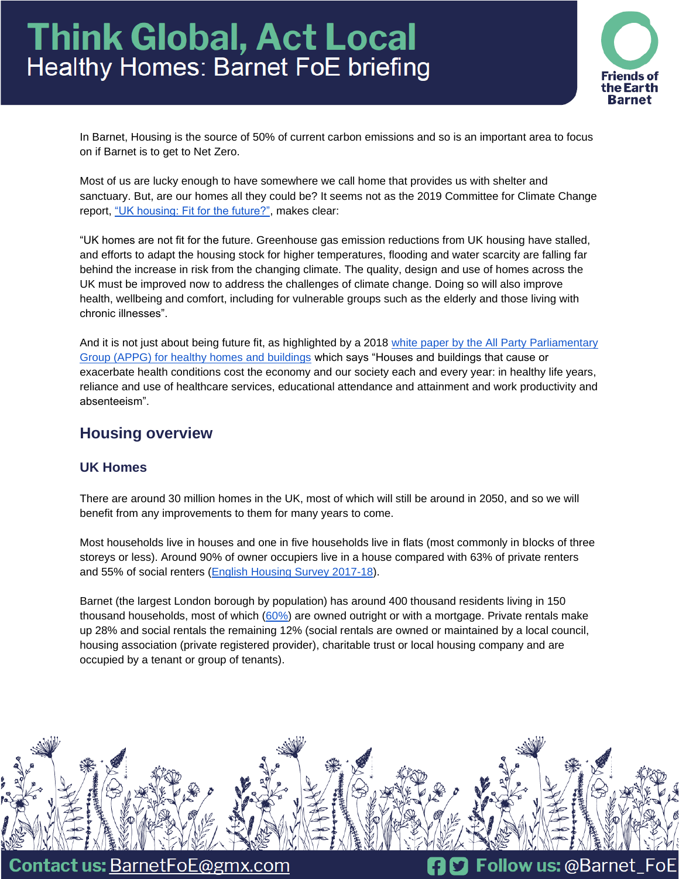# **Think Global, Act Local** Healthy Homes: Barnet FoE briefing



In Barnet, Housing is the source of 50% of current carbon emissions and so is an important area to focus on if Barnet is to get to Net Zero.

Most of us are lucky enough to have somewhere we call home that provides us with shelter and sanctuary. But, are our homes all they could be? It seems not as the 2019 Committee for Climate Change report, ["UK housing: Fit for the future?",](https://www.theccc.org.uk/publication/uk-housing-fit-for-the-future/) makes clear:

"UK homes are not fit for the future. Greenhouse gas emission reductions from UK housing have stalled, and efforts to adapt the housing stock for higher temperatures, flooding and water scarcity are falling far behind the increase in risk from the changing climate. The quality, design and use of homes across the UK must be improved now to address the challenges of climate change. Doing so will also improve health, wellbeing and comfort, including for vulnerable groups such as the elderly and those living with chronic illnesses".

And it is not just about being future fit, as highlighted by a 2018 [white paper by the All Party Parliamentary](https://healthyhomesbuildings.org.uk/)  [Group \(APPG\) for healthy homes and buildings](https://healthyhomesbuildings.org.uk/) which says "Houses and buildings that cause or exacerbate health conditions cost the economy and our society each and every year: in healthy life years, reliance and use of healthcare services, educational attendance and attainment and work productivity and absenteeism".

# **Housing overview**

## **UK Homes**

There are around 30 million homes in the UK, most of which will still be around in 2050, and so we will benefit from any improvements to them for many years to come.

Most households live in houses and one in five households live in flats (most commonly in blocks of three storeys or less). Around 90% of owner occupiers live in a house compared with 63% of private renters and 55% of social renters [\(English Housing Survey 2017-18\)](https://assets.publishing.service.gov.uk/government/uploads/system/uploads/attachment_data/file/817286/EHS_2017-18_Households_Report.pdf).

Barnet (the largest London borough by population) has around 400 thousand residents living in 150 thousand households, most of which [\(60%\)](https://www.ons.gov.uk/peoplepopulationandcommunity/housing/datasets/subnationaldwellingstockbytenureestimates) are owned outright or with a mortgage. Private rentals make up 28% and social rentals the remaining 12% (social rentals are owned or maintained by a local council, housing association (private registered provider), charitable trust or local housing company and are occupied by a tenant or group of tenants).



**Contact us: BarnetFoE@gmx.com** 

**n** D Follow us: @Barnet FoE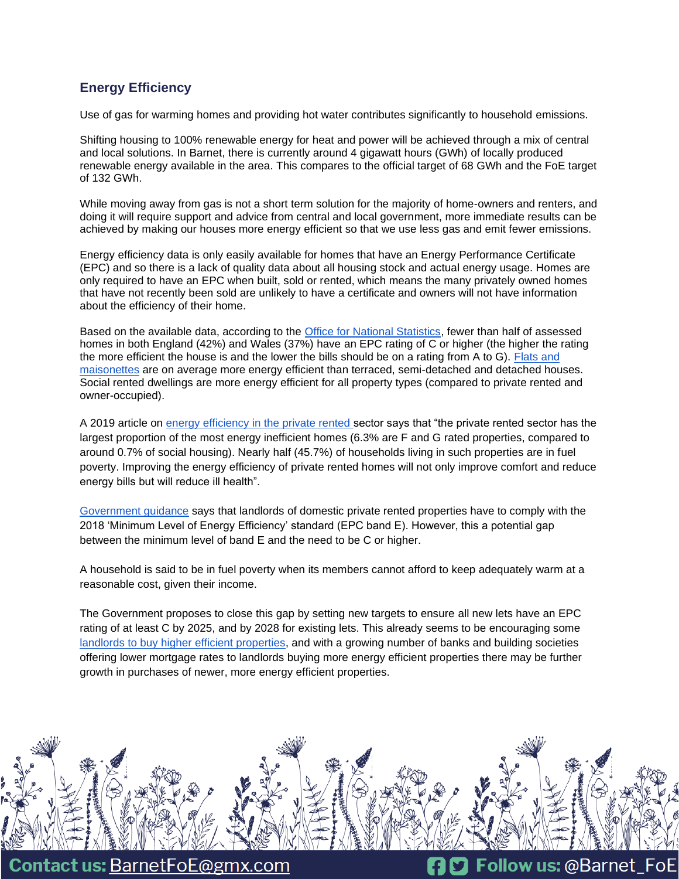## **Energy Efficiency**

Use of gas for warming homes and providing hot water contributes significantly to household emissions.

Shifting housing to 100% renewable energy for heat and power will be achieved through a mix of central and local solutions. In Barnet, there is currently around 4 gigawatt hours (GWh) of locally produced renewable energy available in the area. This compares to the official target of 68 GWh and the FoE target of 132 GWh.

While moving away from gas is not a short term solution for the majority of home-owners and renters, and doing it will require support and advice from central and local government, more immediate results can be achieved by making our houses more energy efficient so that we use less gas and emit fewer emissions.

Energy efficiency data is only easily available for homes that have an Energy Performance Certificate (EPC) and so there is a lack of quality data about all housing stock and actual energy usage. Homes are only required to have an EPC when built, sold or rented, which means the many privately owned homes that have not recently been sold are unlikely to have a certificate and owners will not have information about the efficiency of their home.

Based on the available data, according to the [Office for National Statistics,](https://www.ons.gov.uk/peoplepopulationandcommunity/housing/articles/ageofthepropertyisthebiggestsinglefactorinenergyefficiencyofhomes/2021-11-01) fewer than half of assessed homes in both England (42%) and Wales (37%) have an EPC rating of C or higher (the higher the rating the more efficient the house is and the lower the bills should be on a rating from A to G). [Flats and](https://www.ons.gov.uk/peoplepopulationandcommunity/housing/articles/energyefficiencyofhousinginenglandandwales/2021)  [maisonettes](https://www.ons.gov.uk/peoplepopulationandcommunity/housing/articles/energyefficiencyofhousinginenglandandwales/2021) are on average more energy efficient than terraced, semi-detached and detached houses. Social rented dwellings are more energy efficient for all property types (compared to private rented and owner-occupied).

A 2019 article on [energy efficiency in the private rented s](https://energysavingtrust.org.uk/minimum-energy-efficiency-standards-private-rented-sector/sector)ector says that "the private rented sector has the largest proportion of the most energy inefficient homes (6.3% are F and G rated properties, compared to around 0.7% of social housing). Nearly half (45.7%) of households living in such properties are in fuel poverty. Improving the energy efficiency of private rented homes will not only improve comfort and reduce energy bills but will reduce ill health".

[Government guidance](https://www.gov.uk/guidance/domestic-private-rented-property-minimum-energy-efficiency-standard-landlord-guidance) says that landlords of domestic private rented properties have to comply with the 2018 'Minimum Level of Energy Efficiency' standard (EPC band E). However, this a potential gap between the minimum level of band E and the need to be C or higher.

A household is said to be in fuel poverty when its members cannot afford to keep adequately warm at a reasonable cost, given their income.

The Government proposes to close this gap by setting new targets to ensure all new lets have an EPC rating of at least C by 2025, and by 2028 for existing lets. This already seems to be encouraging some [landlords to buy higher efficient properties,](https://www.telegraph.co.uk/property/buy-to-let/landlords-scramble-buy-eco-properties-avoid-10k-upgrade-costs/) and with a growing number of banks and building societies offering lower mortgage rates to landlords buying more energy efficient properties there may be further growth in purchases of newer, more energy efficient properties.



**Contact us: BarnetFoE@gmx.com**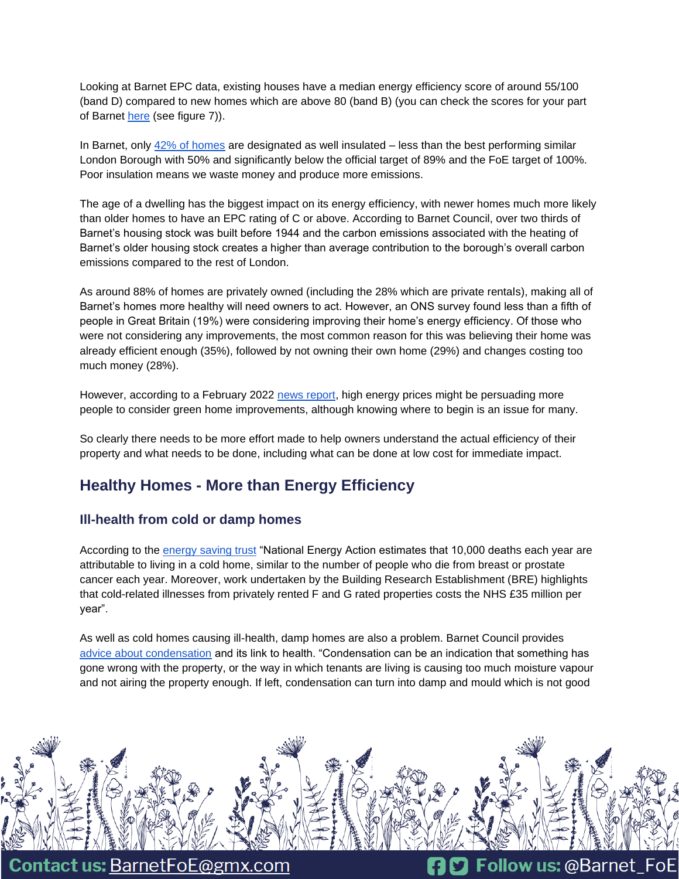Looking at Barnet EPC data, existing houses have a median energy efficiency score of around 55/100 (band D) compared to new homes which are above 80 (band B) (you can check the scores for your part of Barnet [here](https://www.ons.gov.uk/peoplepopulationandcommunity/housing/articles/energyefficiencyofhousinginenglandandwales/2021) (see figure 7)).

In Barnet, only [42% of homes](https://takeclimateaction.uk/near-you/barnet?postcode=nw71hp) are designated as well insulated – less than the best performing similar London Borough with 50% and significantly below the official target of 89% and the FoE target of 100%. Poor insulation means we waste money and produce more emissions.

The age of a dwelling has the biggest impact on its energy efficiency, with newer homes much more likely than older homes to have an EPC rating of C or above. According to Barnet Council, over two thirds of Barnet's housing stock was built before 1944 and the carbon emissions associated with the heating of Barnet's older housing stock creates a higher than average contribution to the borough's overall carbon emissions compared to the rest of London.

As around 88% of homes are privately owned (including the 28% which are private rentals), making all of Barnet's homes more healthy will need owners to act. However, an ONS survey found less than a fifth of people in Great Britain (19%) were considering improving their home's energy efficiency. Of those who were not considering any improvements, the most common reason for this was believing their home was already efficient enough (35%), followed by not owning their own home (29%) and changes costing too much money (28%).

However, according to a February 2022 [news report,](https://inews.co.uk/inews-lifestyle/money/property-and-mortgages/energy-prices-more-likely-green-improvments-homes-gas-electricity-costs-1459553) high energy prices might be persuading more people to consider green home improvements, although knowing where to begin is an issue for many.

So clearly there needs to be more effort made to help owners understand the actual efficiency of their property and what needs to be done, including what can be done at low cost for immediate impact.

# **Healthy Homes - More than Energy Efficiency**

#### **Ill-health from cold or damp homes**

According to the [energy saving trust](https://energysavingtrust.org.uk/minimum-energy-efficiency-standards-private-rented-sector/) "National Energy Action estimates that 10,000 deaths each year are attributable to living in a cold home, similar to the number of people who die from breast or prostate cancer each year. Moreover, work undertaken by the Building Research Establishment (BRE) highlights that cold-related illnesses from privately rented F and G rated properties costs the NHS £35 million per year".

As well as cold homes causing ill-health, damp homes are also a problem. Barnet Council provides [advice about condensation](https://www.barnet.gov.uk/housing/private-housing/condensation-and-damp) and its link to health. "Condensation can be an indication that something has gone wrong with the property, or the way in which tenants are living is causing too much moisture vapour and not airing the property enough. If left, condensation can turn into damp and mould which is not good



**Contact us: BarnetFoE@gmx.com** 

**nD** Follow us: @Barnet\_FoE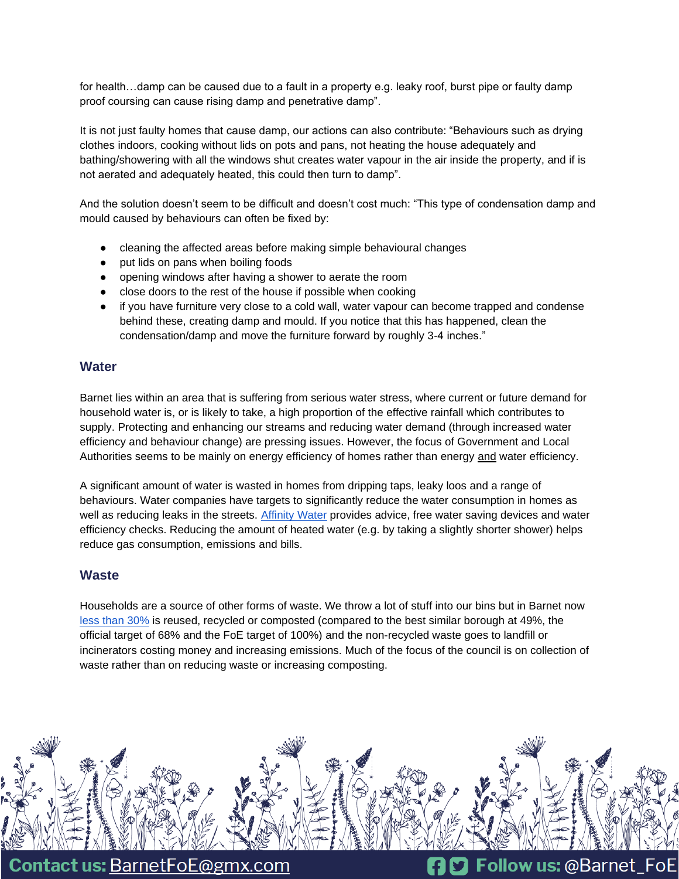for health…damp can be caused due to a fault in a property e.g. leaky roof, burst pipe or faulty damp proof coursing can cause rising damp and penetrative damp".

It is not just faulty homes that cause damp, our actions can also contribute: "Behaviours such as drying clothes indoors, cooking without lids on pots and pans, not heating the house adequately and bathing/showering with all the windows shut creates water vapour in the air inside the property, and if is not aerated and adequately heated, this could then turn to damp".

And the solution doesn't seem to be difficult and doesn't cost much: "This type of condensation damp and mould caused by behaviours can often be fixed by:

- cleaning the affected areas before making simple behavioural changes
- put lids on pans when boiling foods
- opening windows after having a shower to aerate the room
- close doors to the rest of the house if possible when cooking
- if you have furniture very close to a cold wall, water vapour can become trapped and condense behind these, creating damp and mould. If you notice that this has happened, clean the condensation/damp and move the furniture forward by roughly 3-4 inches."

#### **Water**

Barnet lies within an area that is suffering from serious water stress, where current or future demand for household water is, or is likely to take, a high proportion of the effective rainfall which contributes to supply. Protecting and enhancing our streams and reducing water demand (through increased water efficiency and behaviour change) are pressing issues. However, the focus of Government and Local Authorities seems to be mainly on energy efficiency of homes rather than energy and water efficiency.

A significant amount of water is wasted in homes from dripping taps, leaky loos and a range of behaviours. Water companies have targets to significantly reduce the water consumption in homes as well as reducing leaks in the streets. [Affinity Water](https://www.affinitywater.co.uk/save-water) provides advice, free water saving devices and water efficiency checks. Reducing the amount of heated water (e.g. by taking a slightly shorter shower) helps reduce gas consumption, emissions and bills.

#### **Waste**

Households are a source of other forms of waste. We throw a lot of stuff into our bins but in Barnet now [less than 30%](https://barnetpost.co.uk/barnets-falling-recycling-rate-shocking#article) is reused, recycled or composted (compared to the best similar borough at 49%, the official target of 68% and the FoE target of 100%) and the non-recycled waste goes to landfill or incinerators costing money and increasing emissions. Much of the focus of the council is on collection of waste rather than on reducing waste or increasing composting.



**Contact us: BarnetFoE@gmx.com** 

**10** Follow us: @Barnet\_FoE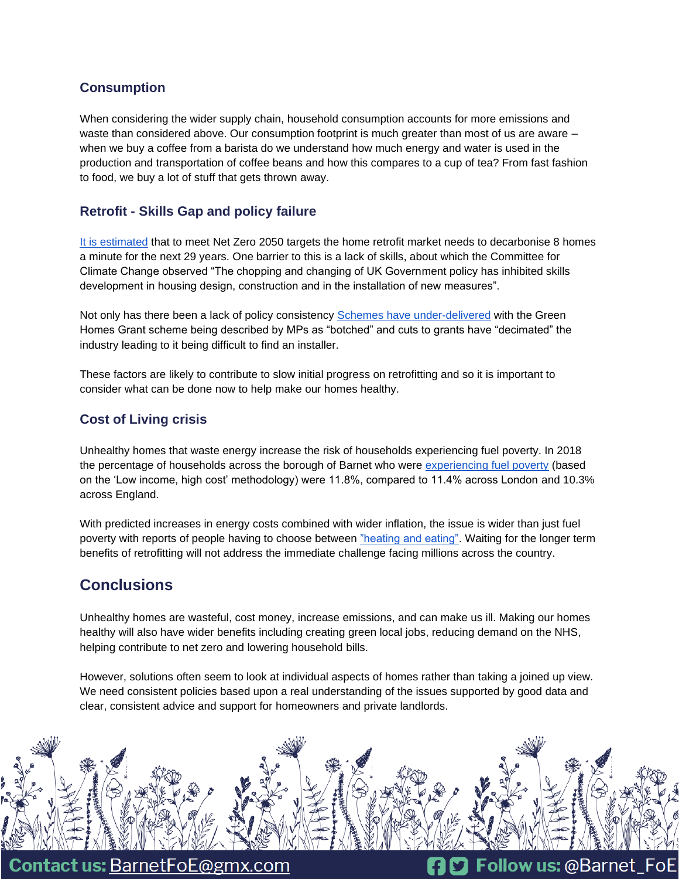## **Consumption**

When considering the wider supply chain, household consumption accounts for more emissions and waste than considered above. Our consumption footprint is much greater than most of us are aware when we buy a coffee from a barista do we understand how much energy and water is used in the production and transportation of coffee beans and how this compares to a cup of tea? From fast fashion to food, we buy a lot of stuff that gets thrown away.

## **Retrofit - Skills Gap and policy failure**

[It is estimated](https://www.current-news.co.uk/news/retrofit-skills-shortages-holding-back-home-decarbonisation-finds-energy-systems-catapult) that to meet Net Zero 2050 targets the home retrofit market needs to decarbonise 8 homes a minute for the next 29 years. One barrier to this is a lack of skills, about which the Committee for Climate Change observed "The chopping and changing of UK Government policy has inhibited skills development in housing design, construction and in the installation of new measures".

Not only has there been a lack of policy consistency [Schemes have under-delivered](https://www.bbc.co.uk/news/science-environment-60290876) with the Green Homes Grant scheme being described by MPs as "botched" and cuts to grants have "decimated" the industry leading to it being difficult to find an installer.

These factors are likely to contribute to slow initial progress on retrofitting and so it is important to consider what can be done now to help make our homes healthy.

## **Cost of Living crisis**

Unhealthy homes that waste energy increase the risk of households experiencing fuel poverty. In 2018 the percentage of households across the borough of Barnet who were [experiencing fuel poverty](https://open.barnet.gov.uk/insight-and-intelligence/jsna/borough-summary/) (based on the 'Low income, high cost' methodology) were 11.8%, compared to 11.4% across London and 10.3% across England.

With predicted increases in energy costs combined with wider inflation, the issue is wider than just fuel poverty with reports of people having to choose between ["heating and eating".](https://www.theguardian.com/society/2022/feb/07/1m-uk-adults-go-entire-day-without-food-in-cost-of-living-crisis) Waiting for the longer term benefits of retrofitting will not address the immediate challenge facing millions across the country.

# **Conclusions**

Unhealthy homes are wasteful, cost money, increase emissions, and can make us ill. Making our homes healthy will also have wider benefits including creating green local jobs, reducing demand on the NHS, helping contribute to net zero and lowering household bills.

However, solutions often seem to look at individual aspects of homes rather than taking a joined up view. We need consistent policies based upon a real understanding of the issues supported by good data and clear, consistent advice and support for homeowners and private landlords.